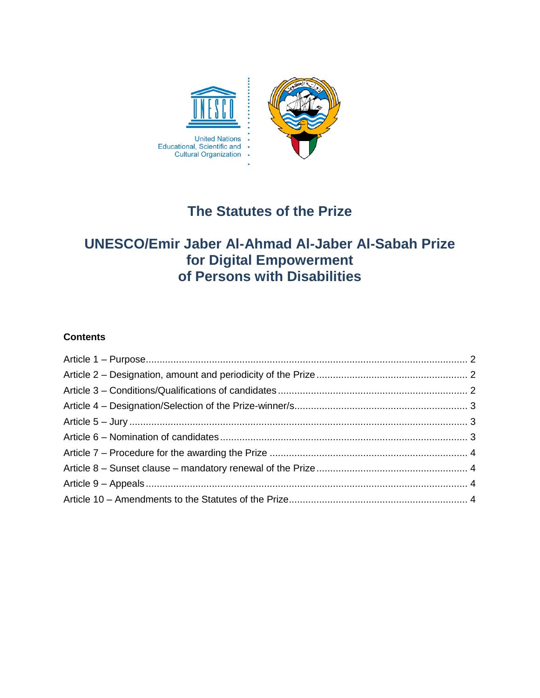

# **The Statutes of the Prize**

# **UNESCO/Emir Jaber Al-Ahmad Al-Jaber Al-Sabah Prize for Digital Empowerment of Persons with Disabilities**

# **Contents**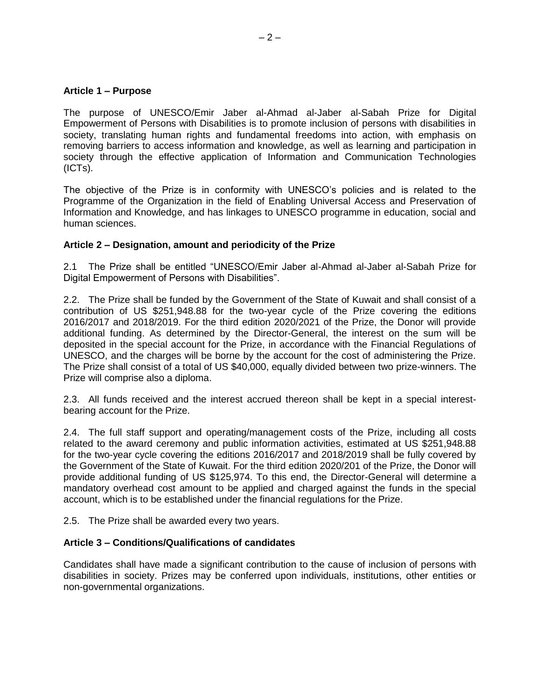## <span id="page-1-0"></span>**Article 1 – Purpose**

The purpose of UNESCO/Emir Jaber al-Ahmad al-Jaber al-Sabah Prize for Digital Empowerment of Persons with Disabilities is to promote inclusion of persons with disabilities in society, translating human rights and fundamental freedoms into action, with emphasis on removing barriers to access information and knowledge, as well as learning and participation in society through the effective application of Information and Communication Technologies (ICTs).

The objective of the Prize is in conformity with UNESCO's policies and is related to the Programme of the Organization in the field of Enabling Universal Access and Preservation of Information and Knowledge, and has linkages to UNESCO programme in education, social and human sciences.

# <span id="page-1-1"></span>**Article 2 – Designation, amount and periodicity of the Prize**

2.1 The Prize shall be entitled "UNESCO/Emir Jaber al-Ahmad al-Jaber al-Sabah Prize for Digital Empowerment of Persons with Disabilities".

2.2. The Prize shall be funded by the Government of the State of Kuwait and shall consist of a contribution of US \$251,948.88 for the two-year cycle of the Prize covering the editions 2016/2017 and 2018/2019. For the third edition 2020/2021 of the Prize, the Donor will provide additional funding. As determined by the Director-General, the interest on the sum will be deposited in the special account for the Prize, in accordance with the Financial Regulations of UNESCO, and the charges will be borne by the account for the cost of administering the Prize. The Prize shall consist of a total of US \$40,000, equally divided between two prize-winners. The Prize will comprise also a diploma.

2.3. All funds received and the interest accrued thereon shall be kept in a special interestbearing account for the Prize.

2.4. The full staff support and operating/management costs of the Prize, including all costs related to the award ceremony and public information activities, estimated at US \$251,948.88 for the two-year cycle covering the editions 2016/2017 and 2018/2019 shall be fully covered by the Government of the State of Kuwait. For the third edition 2020/201 of the Prize, the Donor will provide additional funding of US \$125,974. To this end, the Director-General will determine a mandatory overhead cost amount to be applied and charged against the funds in the special account, which is to be established under the financial regulations for the Prize.

2.5. The Prize shall be awarded every two years.

#### <span id="page-1-2"></span>**Article 3 – Conditions/Qualifications of candidates**

Candidates shall have made a significant contribution to the cause of inclusion of persons with disabilities in society. Prizes may be conferred upon individuals, institutions, other entities or non-governmental organizations.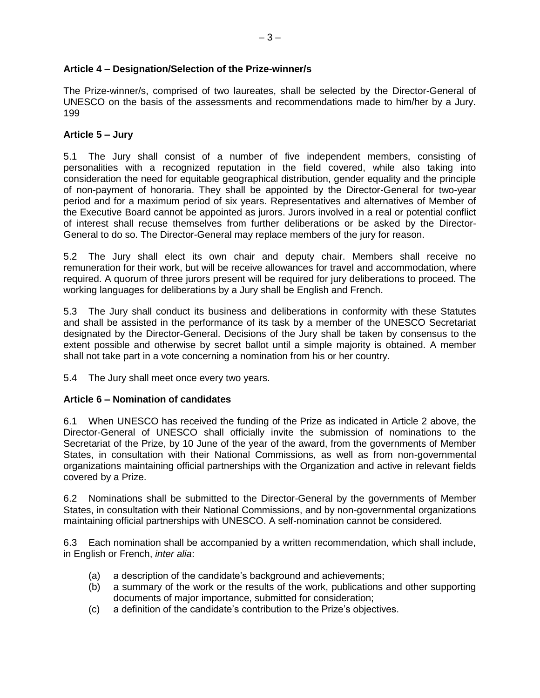# <span id="page-2-0"></span>**Article 4 – Designation/Selection of the Prize-winner/s**

The Prize-winner/s, comprised of two laureates, shall be selected by the Director-General of UNESCO on the basis of the assessments and recommendations made to him/her by a Jury. 199

#### <span id="page-2-1"></span>**Article 5 – Jury**

5.1 The Jury shall consist of a number of five independent members, consisting of personalities with a recognized reputation in the field covered, while also taking into consideration the need for equitable geographical distribution, gender equality and the principle of non-payment of honoraria. They shall be appointed by the Director-General for two-year period and for a maximum period of six years. Representatives and alternatives of Member of the Executive Board cannot be appointed as jurors. Jurors involved in a real or potential conflict of interest shall recuse themselves from further deliberations or be asked by the Director-General to do so. The Director-General may replace members of the jury for reason.

5.2 The Jury shall elect its own chair and deputy chair. Members shall receive no remuneration for their work, but will be receive allowances for travel and accommodation, where required. A quorum of three jurors present will be required for jury deliberations to proceed. The working languages for deliberations by a Jury shall be English and French.

5.3 The Jury shall conduct its business and deliberations in conformity with these Statutes and shall be assisted in the performance of its task by a member of the UNESCO Secretariat designated by the Director-General. Decisions of the Jury shall be taken by consensus to the extent possible and otherwise by secret ballot until a simple majority is obtained. A member shall not take part in a vote concerning a nomination from his or her country.

5.4 The Jury shall meet once every two years.

# <span id="page-2-2"></span>**Article 6 – Nomination of candidates**

6.1 When UNESCO has received the funding of the Prize as indicated in Article 2 above, the Director-General of UNESCO shall officially invite the submission of nominations to the Secretariat of the Prize, by 10 June of the year of the award, from the governments of Member States, in consultation with their National Commissions, as well as from non-governmental organizations maintaining official partnerships with the Organization and active in relevant fields covered by a Prize.

6.2 Nominations shall be submitted to the Director-General by the governments of Member States, in consultation with their National Commissions, and by non-governmental organizations maintaining official partnerships with UNESCO. A self-nomination cannot be considered.

6.3 Each nomination shall be accompanied by a written recommendation, which shall include, in English or French, *inter alia*:

- (a) a description of the candidate's background and achievements;
- (b) a summary of the work or the results of the work, publications and other supporting documents of major importance, submitted for consideration;
- (c) a definition of the candidate's contribution to the Prize's objectives.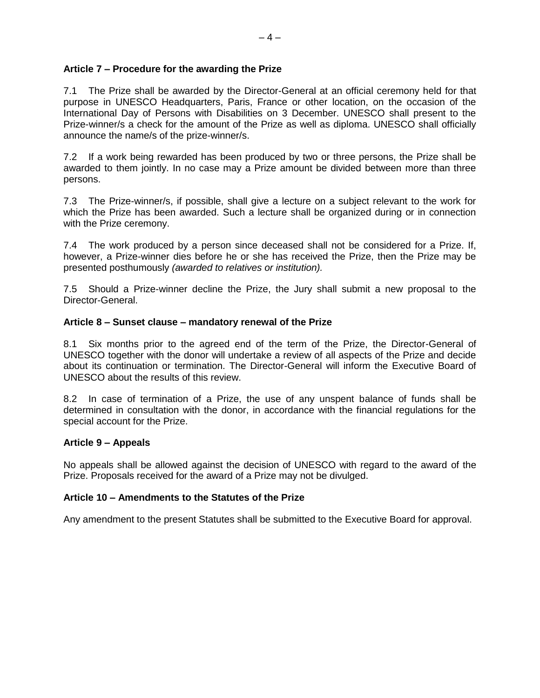#### <span id="page-3-0"></span>**Article 7 – Procedure for the awarding the Prize**

7.1 The Prize shall be awarded by the Director-General at an official ceremony held for that purpose in UNESCO Headquarters, Paris, France or other location, on the occasion of the International Day of Persons with Disabilities on 3 December. UNESCO shall present to the Prize-winner/s a check for the amount of the Prize as well as diploma. UNESCO shall officially announce the name/s of the prize-winner/s.

7.2 If a work being rewarded has been produced by two or three persons, the Prize shall be awarded to them jointly. In no case may a Prize amount be divided between more than three persons.

7.3 The Prize-winner/s, if possible, shall give a lecture on a subject relevant to the work for which the Prize has been awarded. Such a lecture shall be organized during or in connection with the Prize ceremony.

7.4 The work produced by a person since deceased shall not be considered for a Prize. If, however, a Prize-winner dies before he or she has received the Prize, then the Prize may be presented posthumously *(awarded to relatives or institution).* 

7.5 Should a Prize-winner decline the Prize, the Jury shall submit a new proposal to the Director-General.

#### <span id="page-3-1"></span>**Article 8 – Sunset clause – mandatory renewal of the Prize**

8.1 Six months prior to the agreed end of the term of the Prize, the Director-General of UNESCO together with the donor will undertake a review of all aspects of the Prize and decide about its continuation or termination. The Director-General will inform the Executive Board of UNESCO about the results of this review.

8.2 In case of termination of a Prize, the use of any unspent balance of funds shall be determined in consultation with the donor, in accordance with the financial regulations for the special account for the Prize.

#### <span id="page-3-2"></span>**Article 9 – Appeals**

No appeals shall be allowed against the decision of UNESCO with regard to the award of the Prize. Proposals received for the award of a Prize may not be divulged.

#### <span id="page-3-3"></span>**Article 10 – Amendments to the Statutes of the Prize**

Any amendment to the present Statutes shall be submitted to the Executive Board for approval.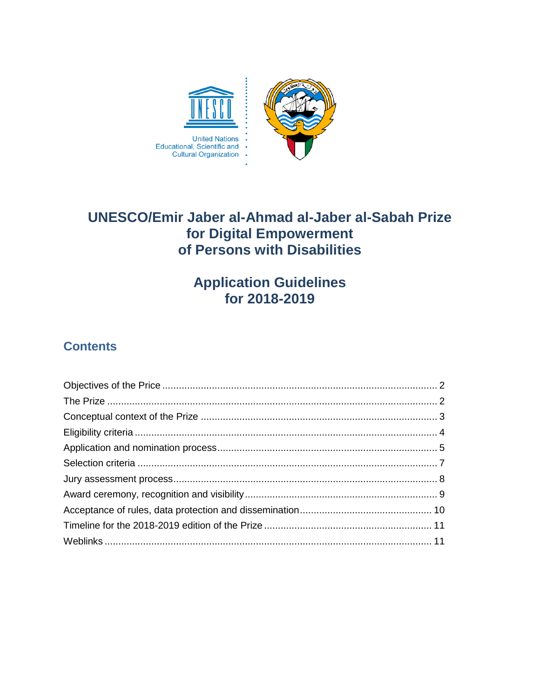

# **UNESCO/Emir Jaber al-Ahmad al-Jaber al-Sabah Prize** for Digital Empowerment of Persons with Disabilities

# **Application Guidelines<br>for 2018-2019**

# **Contents**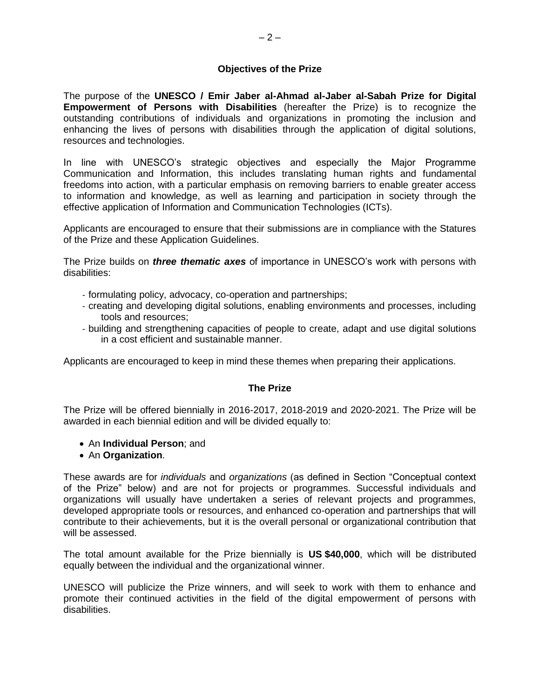# **Objectives of the Prize**

<span id="page-5-0"></span>The purpose of the **UNESCO / Emir Jaber al-Ahmad al-Jaber al-Sabah Prize for Digital Empowerment of Persons with Disabilities** (hereafter the Prize) is to recognize the outstanding contributions of individuals and organizations in promoting the inclusion and enhancing the lives of persons with disabilities through the application of digital solutions, resources and technologies.

In line with UNESCO's strategic objectives and especially the Major Programme Communication and Information, this includes translating human rights and fundamental freedoms into action, with a particular emphasis on removing barriers to enable greater access to information and knowledge, as well as learning and participation in society through the effective application of Information and Communication Technologies (ICTs).

Applicants are encouraged to ensure that their submissions are in compliance with the Statures of the Prize and these Application Guidelines.

The Prize builds on *three thematic axes* of importance in UNESCO's work with persons with disabilities:

- formulating policy, advocacy, co-operation and partnerships;
- creating and developing digital solutions, enabling environments and processes, including tools and resources;
- building and strengthening capacities of people to create, adapt and use digital solutions in a cost efficient and sustainable manner.

Applicants are encouraged to keep in mind these themes when preparing their applications.

#### **The Prize**

<span id="page-5-1"></span>The Prize will be offered biennially in 2016-2017, 2018-2019 and 2020-2021. The Prize will be awarded in each biennial edition and will be divided equally to:

- An **Individual Person**; and
- An **Organization**.

These awards are for *individuals* and *organizations* (as defined in Section "Conceptual context of the Prize" below) and are not for projects or programmes. Successful individuals and organizations will usually have undertaken a series of relevant projects and programmes, developed appropriate tools or resources, and enhanced co-operation and partnerships that will contribute to their achievements, but it is the overall personal or organizational contribution that will be assessed.

The total amount available for the Prize biennially is **US \$40,000**, which will be distributed equally between the individual and the organizational winner.

UNESCO will publicize the Prize winners, and will seek to work with them to enhance and promote their continued activities in the field of the digital empowerment of persons with disabilities.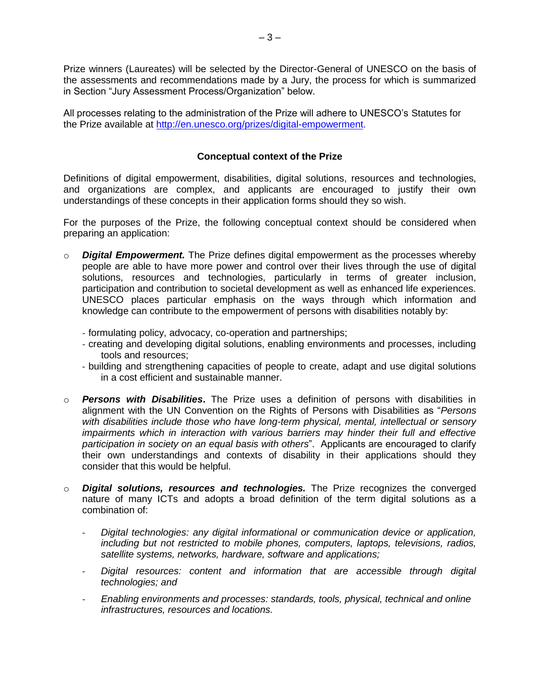Prize winners (Laureates) will be selected by the Director-General of UNESCO on the basis of the assessments and recommendations made by a Jury, the process for which is summarized in Section "Jury Assessment Process/Organization" below.

All processes relating to the administration of the Prize will adhere to UNESCO's Statutes for the Prize available at [http://en.unesco.org/prizes/digital-empowerment.](http://en.unesco.org/prizes/digital-empowerment)

# **Conceptual context of the Prize**

<span id="page-6-0"></span>Definitions of digital empowerment, disabilities, digital solutions, resources and technologies, and organizations are complex, and applicants are encouraged to justify their own understandings of these concepts in their application forms should they so wish.

For the purposes of the Prize, the following conceptual context should be considered when preparing an application:

- o *Digital Empowerment.* The Prize defines digital empowerment as the processes whereby people are able to have more power and control over their lives through the use of digital solutions, resources and technologies, particularly in terms of greater inclusion, participation and contribution to societal development as well as enhanced life experiences. UNESCO places particular emphasis on the ways through which information and knowledge can contribute to the empowerment of persons with disabilities notably by:
	- formulating policy, advocacy, co-operation and partnerships;
	- creating and developing digital solutions, enabling environments and processes, including tools and resources;
	- building and strengthening capacities of people to create, adapt and use digital solutions in a cost efficient and sustainable manner.
- o *Persons with Disabilities***.** The Prize uses a definition of persons with disabilities in alignment with the UN Convention on the Rights of Persons with Disabilities as "*Persons with disabilities include those who have long-term physical, mental, intellectual or sensory impairments which in interaction with various barriers may hinder their full and effective participation in society on an equal basis with others*". Applicants are encouraged to clarify their own understandings and contexts of disability in their applications should they consider that this would be helpful.
- o *Digital solutions, resources and technologies.* The Prize recognizes the converged nature of many ICTs and adopts a broad definition of the term digital solutions as a combination of:
	- *Digital technologies: any digital informational or communication device or application, including but not restricted to mobile phones, computers, laptops, televisions, radios, satellite systems, networks, hardware, software and applications;*
	- *Digital resources: content and information that are accessible through digital technologies; and*
	- *Enabling environments and processes: standards, tools, physical, technical and online infrastructures, resources and locations.*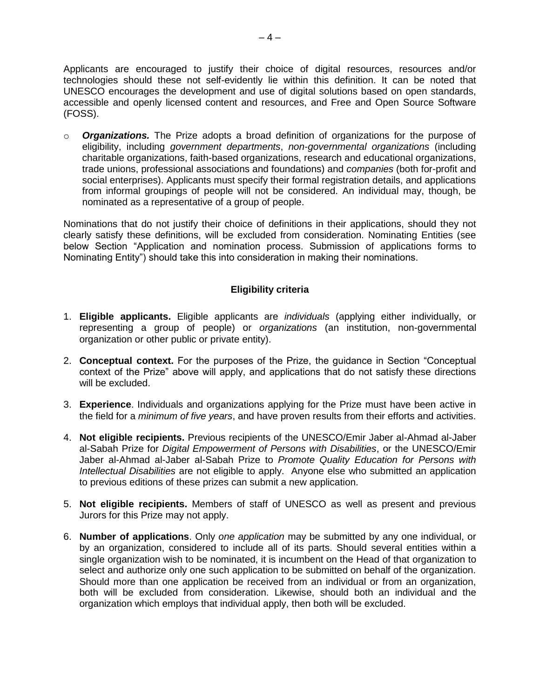Applicants are encouraged to justify their choice of digital resources, resources and/or technologies should these not self-evidently lie within this definition. It can be noted that UNESCO encourages the development and use of digital solutions based on open standards, accessible and openly licensed content and resources, and Free and Open Source Software (FOSS).

o *Organizations.* The Prize adopts a broad definition of organizations for the purpose of eligibility, including *government departments*, *non-governmental organizations* (including charitable organizations, faith-based organizations, research and educational organizations, trade unions, professional associations and foundations) and *companies* (both for-profit and social enterprises). Applicants must specify their formal registration details, and applications from informal groupings of people will not be considered. An individual may, though, be nominated as a representative of a group of people.

Nominations that do not justify their choice of definitions in their applications, should they not clearly satisfy these definitions, will be excluded from consideration. Nominating Entities (see below Section "Application and nomination process. Submission of applications forms to Nominating Entity") should take this into consideration in making their nominations.

# **Eligibility criteria**

- <span id="page-7-0"></span>1. **Eligible applicants.** Eligible applicants are *individuals* (applying either individually, or representing a group of people) or *organizations* (an institution, non-governmental organization or other public or private entity).
- 2. **Conceptual context.** For the purposes of the Prize, the guidance in Section "Conceptual context of the Prize" above will apply, and applications that do not satisfy these directions will be excluded.
- 3. **Experience**. Individuals and organizations applying for the Prize must have been active in the field for a *minimum of five years*, and have proven results from their efforts and activities.
- 4. **Not eligible recipients.** Previous recipients of the UNESCO/Emir Jaber al-Ahmad al-Jaber al-Sabah Prize for *Digital Empowerment of Persons with Disabilities*, or the UNESCO/Emir Jaber al-Ahmad al-Jaber al-Sabah Prize to *Promote Quality Education for Persons with Intellectual Disabilities* are not eligible to apply. Anyone else who submitted an application to previous editions of these prizes can submit a new application.
- 5. **Not eligible recipients.** Members of staff of UNESCO as well as present and previous Jurors for this Prize may not apply.
- 6. **Number of applications**. Only *one application* may be submitted by any one individual, or by an organization, considered to include all of its parts. Should several entities within a single organization wish to be nominated, it is incumbent on the Head of that organization to select and authorize only one such application to be submitted on behalf of the organization. Should more than one application be received from an individual or from an organization, both will be excluded from consideration. Likewise, should both an individual and the organization which employs that individual apply, then both will be excluded.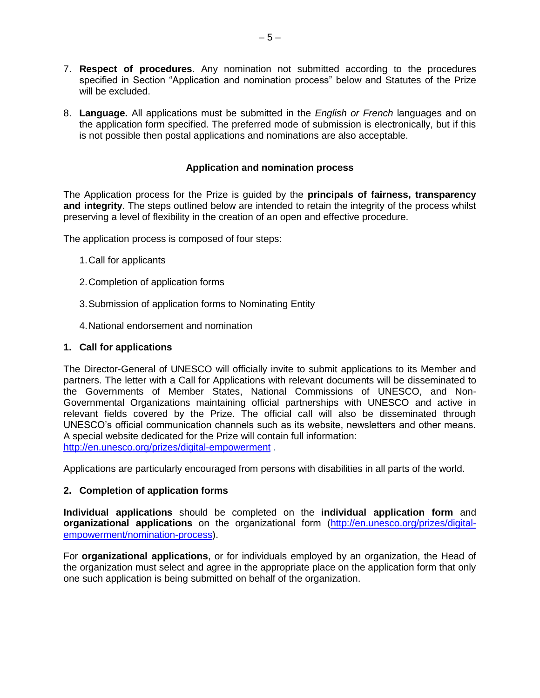- 7. **Respect of procedures**. Any nomination not submitted according to the procedures specified in Section "Application and nomination process" below and Statutes of the Prize will be excluded.
- 8. **Language.** All applications must be submitted in the *English or French* languages and on the application form specified. The preferred mode of submission is electronically, but if this is not possible then postal applications and nominations are also acceptable.

# **Application and nomination process**

<span id="page-8-0"></span>The Application process for the Prize is guided by the **principals of fairness, transparency and integrity**. The steps outlined below are intended to retain the integrity of the process whilst preserving a level of flexibility in the creation of an open and effective procedure.

The application process is composed of four steps:

- 1.Call for applicants
- 2.Completion of application forms
- 3.Submission of application forms to Nominating Entity
- 4.National endorsement and nomination

#### **1. Call for applications**

The Director-General of UNESCO will officially invite to submit applications to its Member and partners. The letter with a Call for Applications with relevant documents will be disseminated to the Governments of Member States, National Commissions of UNESCO, and Non-Governmental Organizations maintaining official partnerships with UNESCO and active in relevant fields covered by the Prize. The official call will also be disseminated through UNESCO's official communication channels such as its website, newsletters and other means. A special website dedicated for the Prize will contain full information: <http://en.unesco.org/prizes/digital-empowerment> .

Applications are particularly encouraged from persons with disabilities in all parts of the world.

#### **2. Completion of application forms**

**Individual applications** should be completed on the **individual application form** and **organizational applications** on the organizational form [\(http://en.unesco.org/prizes/digital](http://en.unesco.org/prizes/digital-empowerment/nomination-process)[empowerment/nomination-process\)](http://en.unesco.org/prizes/digital-empowerment/nomination-process).

For **organizational applications**, or for individuals employed by an organization, the Head of the organization must select and agree in the appropriate place on the application form that only one such application is being submitted on behalf of the organization.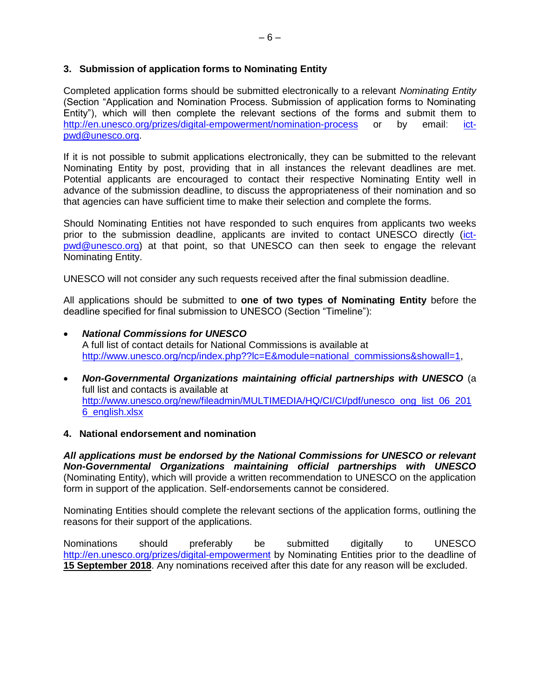# **3. Submission of application forms to Nominating Entity**

Completed application forms should be submitted electronically to a relevant *Nominating Entity* (Section "Application and Nomination Process. Submission of application forms to Nominating Entity"), which will then complete the relevant sections of the forms and submit them to <http://en.unesco.org/prizes/digital-empowerment/nomination-process> or by email: [ict](mailto:ict-pwd@unesco.org)[pwd@unesco.org.](mailto:ict-pwd@unesco.org)

If it is not possible to submit applications electronically, they can be submitted to the relevant Nominating Entity by post, providing that in all instances the relevant deadlines are met. Potential applicants are encouraged to contact their respective Nominating Entity well in advance of the submission deadline, to discuss the appropriateness of their nomination and so that agencies can have sufficient time to make their selection and complete the forms.

Should Nominating Entities not have responded to such enquires from applicants two weeks prior to the submission deadline, applicants are invited to contact UNESCO directly [\(ict](mailto:ict-pwd@unesco.org)[pwd@unesco.org\)](mailto:ict-pwd@unesco.org) at that point, so that UNESCO can then seek to engage the relevant Nominating Entity.

UNESCO will not consider any such requests received after the final submission deadline.

All applications should be submitted to **one of two types of Nominating Entity** before the deadline specified for final submission to UNESCO (Section "Timeline"):

- *National Commissions for UNESCO* A full list of contact details for National Commissions is available at [http://www.unesco.org/ncp/index.php??lc=E&module=national\\_commissions&showall=1,](http://www.unesco.org/ncp/index.php??lc=E&module=national_commissions&showall=1)
- *Non-Governmental Organizations maintaining official partnerships with UNESCO* (a full list and contacts is available at [http://www.unesco.org/new/fileadmin/MULTIMEDIA/HQ/CI/CI/pdf/unesco\\_ong\\_list\\_06\\_201](http://www.unesco.org/new/fileadmin/MULTIMEDIA/HQ/CI/CI/pdf/unesco_ong_list_06_2016_english.xlsx) [6\\_english.xlsx](http://www.unesco.org/new/fileadmin/MULTIMEDIA/HQ/CI/CI/pdf/unesco_ong_list_06_2016_english.xlsx)

#### **4. National endorsement and nomination**

*All applications must be endorsed by the National Commissions for UNESCO or relevant Non-Governmental Organizations maintaining official partnerships with UNESCO* (Nominating Entity), which will provide a written recommendation to UNESCO on the application form in support of the application. Self-endorsements cannot be considered.

Nominating Entities should complete the relevant sections of the application forms, outlining the reasons for their support of the applications.

Nominations should preferably be submitted digitally to UNESCO <http://en.unesco.org/prizes/digital-empowerment> by Nominating Entities prior to the deadline of **15 September 2018**. Any nominations received after this date for any reason will be excluded.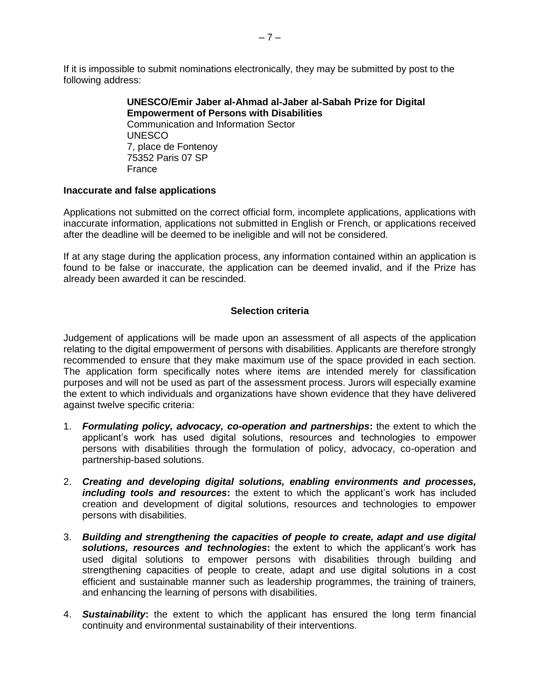If it is impossible to submit nominations electronically, they may be submitted by post to the following address:

> **UNESCO/Emir Jaber al-Ahmad al-Jaber al-Sabah Prize for Digital Empowerment of Persons with Disabilities** Communication and Information Sector UNESCO 7, place de Fontenoy 75352 Paris 07 SP France

#### **Inaccurate and false applications**

Applications not submitted on the correct official form, incomplete applications, applications with inaccurate information, applications not submitted in English or French, or applications received after the deadline will be deemed to be ineligible and will not be considered.

If at any stage during the application process, any information contained within an application is found to be false or inaccurate, the application can be deemed invalid, and if the Prize has already been awarded it can be rescinded.

#### **Selection criteria**

<span id="page-10-0"></span>Judgement of applications will be made upon an assessment of all aspects of the application relating to the digital empowerment of persons with disabilities. Applicants are therefore strongly recommended to ensure that they make maximum use of the space provided in each section. The application form specifically notes where items are intended merely for classification purposes and will not be used as part of the assessment process. Jurors will especially examine the extent to which individuals and organizations have shown evidence that they have delivered against twelve specific criteria:

- 1. *Formulating policy, advocacy, co-operation and partnerships***:** the extent to which the applicant's work has used digital solutions, resources and technologies to empower persons with disabilities through the formulation of policy, advocacy, co-operation and partnership-based solutions.
- 2. *Creating and developing digital solutions, enabling environments and processes, including tools and resources***:** the extent to which the applicant's work has included creation and development of digital solutions, resources and technologies to empower persons with disabilities.
- 3. *Building and strengthening the capacities of people to create, adapt and use digital solutions, resources and technologies***:** the extent to which the applicant's work has used digital solutions to empower persons with disabilities through building and strengthening capacities of people to create, adapt and use digital solutions in a cost efficient and sustainable manner such as leadership programmes, the training of trainers, and enhancing the learning of persons with disabilities.
- 4. *Sustainability***:** the extent to which the applicant has ensured the long term financial continuity and environmental sustainability of their interventions.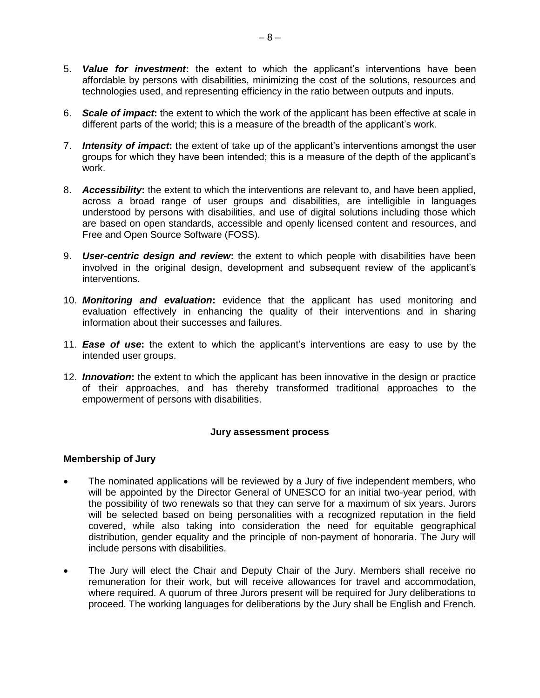- 5. *Value for investment***:** the extent to which the applicant's interventions have been affordable by persons with disabilities, minimizing the cost of the solutions, resources and technologies used, and representing efficiency in the ratio between outputs and inputs.
- 6. *Scale of impact***:** the extent to which the work of the applicant has been effective at scale in different parts of the world; this is a measure of the breadth of the applicant's work.
- 7. *Intensity of impact***:** the extent of take up of the applicant's interventions amongst the user groups for which they have been intended; this is a measure of the depth of the applicant's work.
- 8. *Accessibility***:** the extent to which the interventions are relevant to, and have been applied, across a broad range of user groups and disabilities, are intelligible in languages understood by persons with disabilities, and use of digital solutions including those which are based on open standards, accessible and openly licensed content and resources, and Free and Open Source Software (FOSS).
- 9. *User-centric design and review***:** the extent to which people with disabilities have been involved in the original design, development and subsequent review of the applicant's interventions.
- 10. *Monitoring and evaluation***:** evidence that the applicant has used monitoring and evaluation effectively in enhancing the quality of their interventions and in sharing information about their successes and failures.
- 11. *Ease of use***:** the extent to which the applicant's interventions are easy to use by the intended user groups.
- 12. *Innovation***:** the extent to which the applicant has been innovative in the design or practice of their approaches, and has thereby transformed traditional approaches to the empowerment of persons with disabilities.

# **Jury assessment process**

# <span id="page-11-0"></span>**Membership of Jury**

- The nominated applications will be reviewed by a Jury of five independent members, who will be appointed by the Director General of UNESCO for an initial two-year period, with the possibility of two renewals so that they can serve for a maximum of six years. Jurors will be selected based on being personalities with a recognized reputation in the field covered, while also taking into consideration the need for equitable geographical distribution, gender equality and the principle of non-payment of honoraria. The Jury will include persons with disabilities.
- The Jury will elect the Chair and Deputy Chair of the Jury. Members shall receive no remuneration for their work, but will receive allowances for travel and accommodation, where required. A quorum of three Jurors present will be required for Jury deliberations to proceed. The working languages for deliberations by the Jury shall be English and French.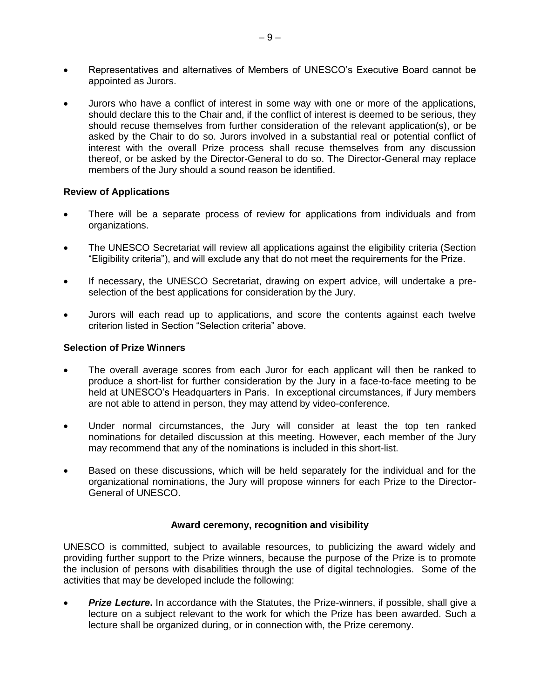- Representatives and alternatives of Members of UNESCO's Executive Board cannot be appointed as Jurors.
- Jurors who have a conflict of interest in some way with one or more of the applications, should declare this to the Chair and, if the conflict of interest is deemed to be serious, they should recuse themselves from further consideration of the relevant application(s), or be asked by the Chair to do so. Jurors involved in a substantial real or potential conflict of interest with the overall Prize process shall recuse themselves from any discussion thereof, or be asked by the Director-General to do so. The Director-General may replace members of the Jury should a sound reason be identified.

#### **Review of Applications**

- There will be a separate process of review for applications from individuals and from organizations.
- The UNESCO Secretariat will review all applications against the eligibility criteria (Section "Eligibility criteria"), and will exclude any that do not meet the requirements for the Prize.
- If necessary, the UNESCO Secretariat, drawing on expert advice, will undertake a preselection of the best applications for consideration by the Jury.
- Jurors will each read up to applications, and score the contents against each twelve criterion listed in Section "Selection criteria" above.

#### **Selection of Prize Winners**

- The overall average scores from each Juror for each applicant will then be ranked to produce a short-list for further consideration by the Jury in a face-to-face meeting to be held at UNESCO's Headquarters in Paris. In exceptional circumstances, if Jury members are not able to attend in person, they may attend by video-conference.
- Under normal circumstances, the Jury will consider at least the top ten ranked nominations for detailed discussion at this meeting. However, each member of the Jury may recommend that any of the nominations is included in this short-list.
- Based on these discussions, which will be held separately for the individual and for the organizational nominations, the Jury will propose winners for each Prize to the Director-General of UNESCO.

#### **Award ceremony, recognition and visibility**

<span id="page-12-0"></span>UNESCO is committed, subject to available resources, to publicizing the award widely and providing further support to the Prize winners, because the purpose of the Prize is to promote the inclusion of persons with disabilities through the use of digital technologies. Some of the activities that may be developed include the following:

*Prize Lecture.* In accordance with the Statutes, the Prize-winners, if possible, shall give a lecture on a subject relevant to the work for which the Prize has been awarded. Such a lecture shall be organized during, or in connection with, the Prize ceremony.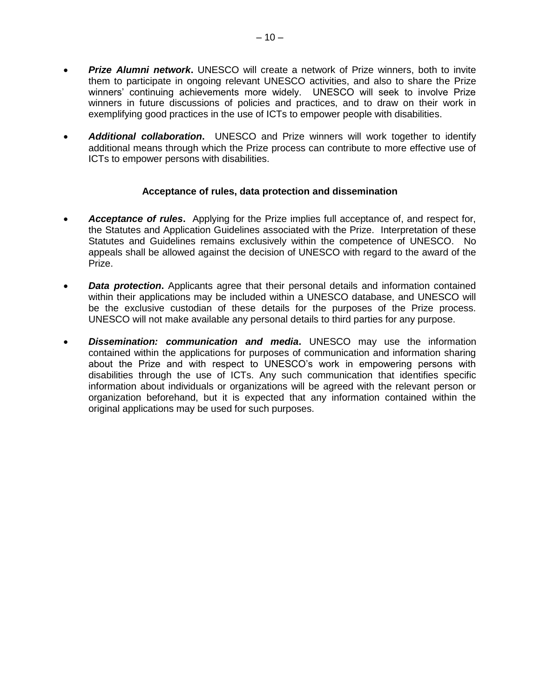- *Prize Alumni network*. UNESCO will create a network of Prize winners, both to invite them to participate in ongoing relevant UNESCO activities, and also to share the Prize winners' continuing achievements more widely. UNESCO will seek to involve Prize winners in future discussions of policies and practices, and to draw on their work in exemplifying good practices in the use of ICTs to empower people with disabilities.
- *Additional collaboration***.** UNESCO and Prize winners will work together to identify additional means through which the Prize process can contribute to more effective use of ICTs to empower persons with disabilities.

#### **Acceptance of rules, data protection and dissemination**

- <span id="page-13-0"></span> *Acceptance of rules***.** Applying for the Prize implies full acceptance of, and respect for, the Statutes and Application Guidelines associated with the Prize. Interpretation of these Statutes and Guidelines remains exclusively within the competence of UNESCO. No appeals shall be allowed against the decision of UNESCO with regard to the award of the Prize.
- **Data protection.** Applicants agree that their personal details and information contained within their applications may be included within a UNESCO database, and UNESCO will be the exclusive custodian of these details for the purposes of the Prize process. UNESCO will not make available any personal details to third parties for any purpose.
- *Dissemination: communication and media***.** UNESCO may use the information contained within the applications for purposes of communication and information sharing about the Prize and with respect to UNESCO's work in empowering persons with disabilities through the use of ICTs. Any such communication that identifies specific information about individuals or organizations will be agreed with the relevant person or organization beforehand, but it is expected that any information contained within the original applications may be used for such purposes.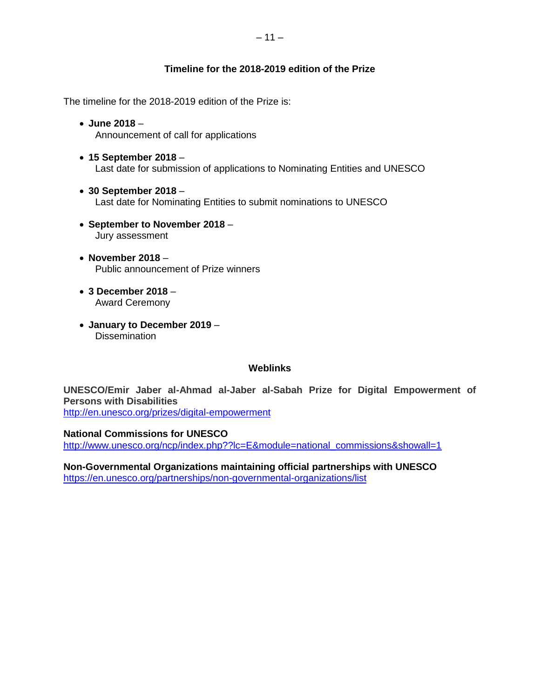# – 11 –

# **Timeline for the 2018-2019 edition of the Prize**

<span id="page-14-0"></span>The timeline for the 2018-2019 edition of the Prize is:

- **June 2018** Announcement of call for applications
- **15 September 2018** Last date for submission of applications to Nominating Entities and UNESCO
- **30 September 2018** Last date for Nominating Entities to submit nominations to UNESCO
- **September to November 2018** Jury assessment
- **November 2018** Public announcement of Prize winners
- **3 December 2018** Award Ceremony
- **January to December 2019 Dissemination**

# **Weblinks**

<span id="page-14-1"></span>**UNESCO/Emir Jaber al-Ahmad al-Jaber al-Sabah Prize for Digital Empowerment of Persons with Disabilities** 

<http://en.unesco.org/prizes/digital-empowerment>

#### **National Commissions for UNESCO**

[http://www.unesco.org/ncp/index.php??lc=E&module=national\\_commissions&showall=1](http://www.unesco.org/ncp/index.php??lc=E&module=national_commissions&showall=1)

**Non-Governmental Organizations maintaining official partnerships with UNESCO**  <https://en.unesco.org/partnerships/non-governmental-organizations/list>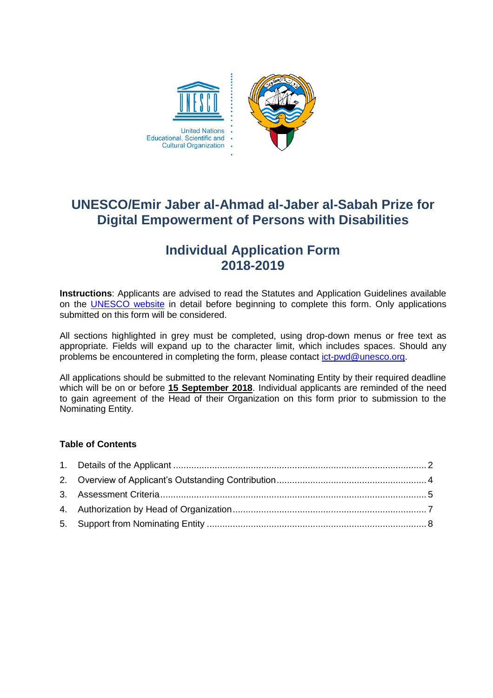

# **UNESCO/Emir Jaber al-Ahmad al-Jaber al-Sabah Prize for Digital Empowerment of Persons with Disabilities**

# **Individual Application Form 2018-2019**

**Instructions**: Applicants are advised to read the Statutes and Application Guidelines available on the [UNESCO website](http://en.unesco.org/prizes/digital-empowerment) in detail before beginning to complete this form. Only applications submitted on this form will be considered.

All sections highlighted in grey must be completed, using drop-down menus or free text as appropriate. Fields will expand up to the character limit, which includes spaces. Should any problems be encountered in completing the form, please contact [ict-pwd@unesco.org.](mailto:ict-pwd@unesco.org)

All applications should be submitted to the relevant Nominating Entity by their required deadline which will be on or before **15 September 2018**. Individual applicants are reminded of the need to gain agreement of the Head of their Organization on this form prior to submission to the Nominating Entity.

# **Table of Contents**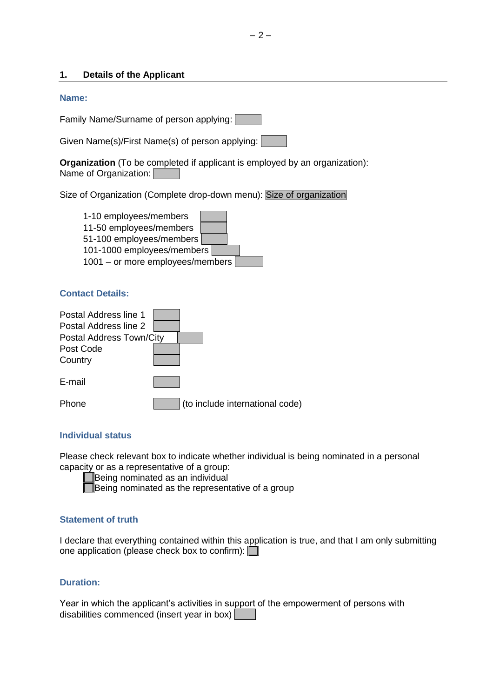#### <span id="page-17-0"></span>**1. Details of the Applicant**

#### **Name:**

Family Name/Surname of person applying:

Given Name(s)/First Name(s) of person applying:

**Organization** (To be completed if applicant is employed by an organization): Name of Organization:

Size of Organization (Complete drop-down menu): Size of organization

| 1-10 employees/members           |  |  |  |
|----------------------------------|--|--|--|
| 11-50 employees/members          |  |  |  |
| 51-100 employees/members         |  |  |  |
| 101-1000 employees/members       |  |  |  |
| 1001 - or more employees/members |  |  |  |

#### **Contact Details:**

| Postal Address line 1<br>Postal Address line 2<br>Postal Address Town/City |  |  |                                 |
|----------------------------------------------------------------------------|--|--|---------------------------------|
| Post Code<br>Country                                                       |  |  |                                 |
| E-mail                                                                     |  |  |                                 |
| one                                                                        |  |  | (to include international code) |

#### **Individual status**

Please check relevant box to indicate whether individual is being nominated in a personal capacity or as a representative of a group:

|  | Being nominated as an individual                 |  |  |
|--|--------------------------------------------------|--|--|
|  |                                                  |  |  |
|  | Being nominated as the representative of a group |  |  |

#### **Statement of truth**

I declare that everything contained within this application is true, and that I am only submitting one application (please check box to confirm):

# **Duration:**

Year in which the applicant's activities in support of the empowerment of persons with disabilities commenced (insert year in box)  $\Box$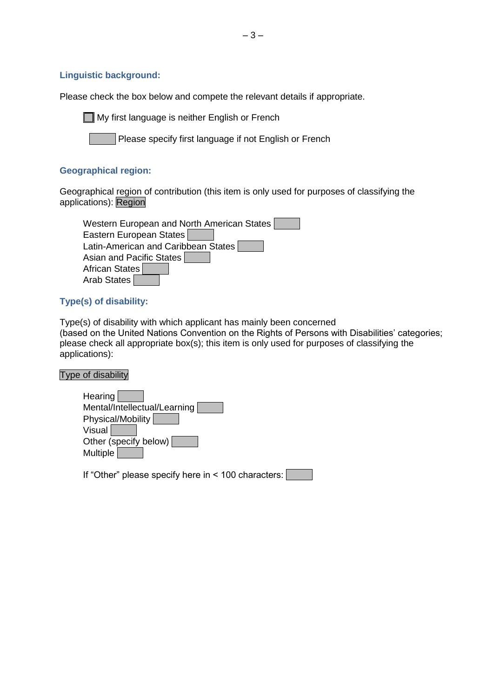# **Linguistic background:**

Please check the box below and compete the relevant details if appropriate.

**My first language is neither English or French** 

Please specify first language if not English or French

# **Geographical region:**

Geographical region of contribution (this item is only used for purposes of classifying the applications): Region

| Western European and North American States |
|--------------------------------------------|
| Eastern European States                    |
| Latin-American and Caribbean States        |
| Asian and Pacific States                   |
| African States                             |
| Arab States                                |

# **Type(s) of disability:**

Type(s) of disability with which applicant has mainly been concerned (based on the United Nations Convention on the Rights of Persons with Disabilities' categories; please check all appropriate box(s); this item is only used for purposes of classifying the applications):

# Type of disability

| Hearing                      |  |
|------------------------------|--|
| Mental/Intellectual/Learning |  |
| Physical/Mobility            |  |
| Visual                       |  |
| Other (specify below)        |  |
| <b>Multiple</b>              |  |
|                              |  |
|                              |  |

If "Other" please specify here in < 100 characters: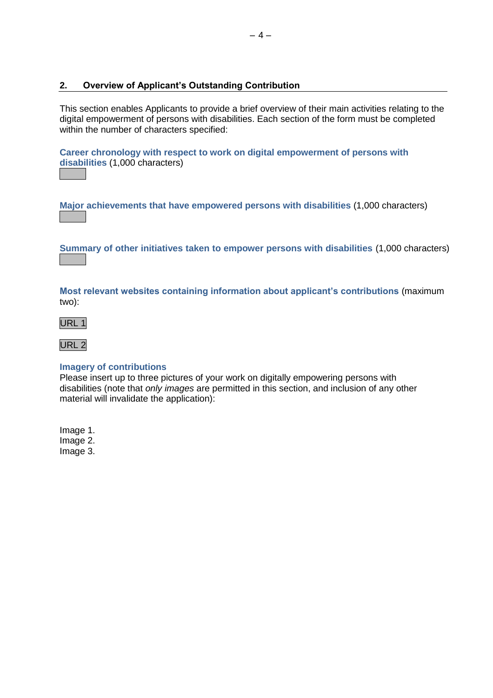# <span id="page-19-0"></span>**2. Overview of Applicant's Outstanding Contribution**

This section enables Applicants to provide a brief overview of their main activities relating to the digital empowerment of persons with disabilities. Each section of the form must be completed within the number of characters specified:

**Career chronology with respect to work on digital empowerment of persons with disabilities** (1,000 characters)

**Major achievements that have empowered persons with disabilities** (1,000 characters)

**Summary of other initiatives taken to empower persons with disabilities** (1,000 characters)

**Most relevant websites containing information about applicant's contributions** (maximum two):





# **Imagery of contributions**

Please insert up to three pictures of your work on digitally empowering persons with disabilities (note that *only images* are permitted in this section, and inclusion of any other material will invalidate the application):

Image 1. Image 2. Image 3.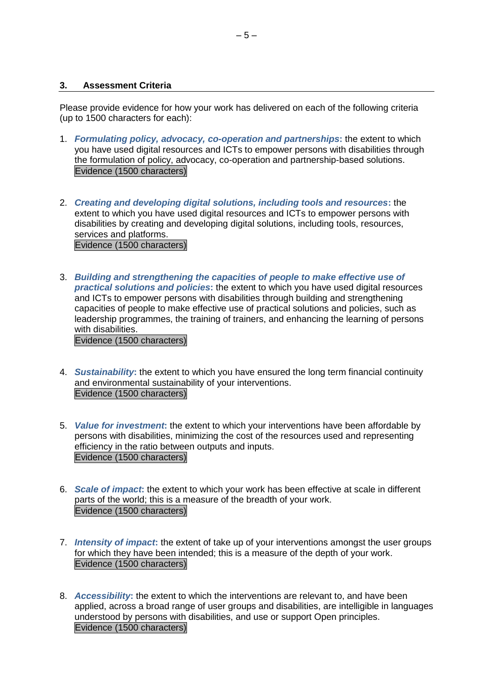# <span id="page-20-0"></span>**3. Assessment Criteria**

Please provide evidence for how your work has delivered on each of the following criteria (up to 1500 characters for each):

- 1. *Formulating policy, advocacy, co-operation and partnerships***:** the extent to which you have used digital resources and ICTs to empower persons with disabilities through the formulation of policy, advocacy, co-operation and partnership-based solutions. Evidence (1500 characters)
- 2. *Creating and developing digital solutions, including tools and resources***:** the extent to which you have used digital resources and ICTs to empower persons with disabilities by creating and developing digital solutions, including tools, resources, services and platforms. Evidence (1500 characters)
- 3. *Building and strengthening the capacities of people to make effective use of practical solutions and policies***:** the extent to which you have used digital resources and ICTs to empower persons with disabilities through building and strengthening capacities of people to make effective use of practical solutions and policies, such as leadership programmes, the training of trainers, and enhancing the learning of persons with disabilities.

Evidence (1500 characters)

- 4. *Sustainability***:** the extent to which you have ensured the long term financial continuity and environmental sustainability of your interventions. Evidence (1500 characters)
- 5. *Value for investment***:** the extent to which your interventions have been affordable by persons with disabilities, minimizing the cost of the resources used and representing efficiency in the ratio between outputs and inputs. Evidence (1500 characters)
- 6. *Scale of impact***:** the extent to which your work has been effective at scale in different parts of the world; this is a measure of the breadth of your work. Evidence (1500 characters)
- 7. *Intensity of impact***:** the extent of take up of your interventions amongst the user groups for which they have been intended; this is a measure of the depth of your work. Evidence (1500 characters)
- 8. *Accessibility***:** the extent to which the interventions are relevant to, and have been applied, across a broad range of user groups and disabilities, are intelligible in languages understood by persons with disabilities, and use or support Open principles. Evidence (1500 characters)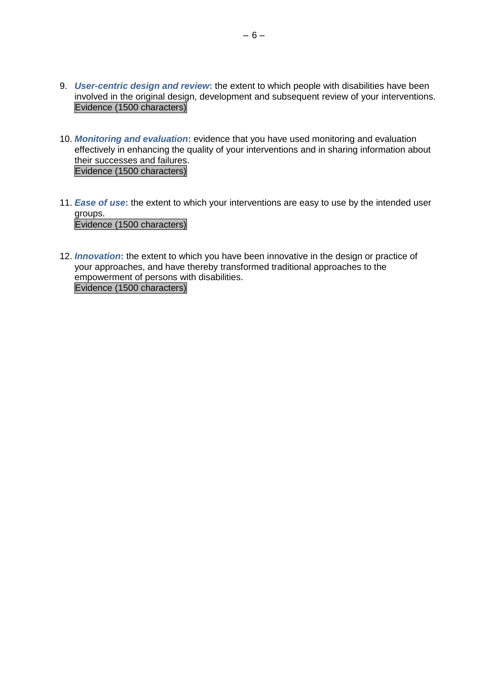- 9. *User-centric design and review***:** the extent to which people with disabilities have been involved in the original design, development and subsequent review of your interventions. Evidence (1500 characters)
- 10. *Monitoring and evaluation***:** evidence that you have used monitoring and evaluation effectively in enhancing the quality of your interventions and in sharing information about their successes and failures. Evidence (1500 characters)
- 11. *Ease of use***:** the extent to which your interventions are easy to use by the intended user groups. Evidence (1500 characters)
- 12. *Innovation***:** the extent to which you have been innovative in the design or practice of your approaches, and have thereby transformed traditional approaches to the empowerment of persons with disabilities. Evidence (1500 characters)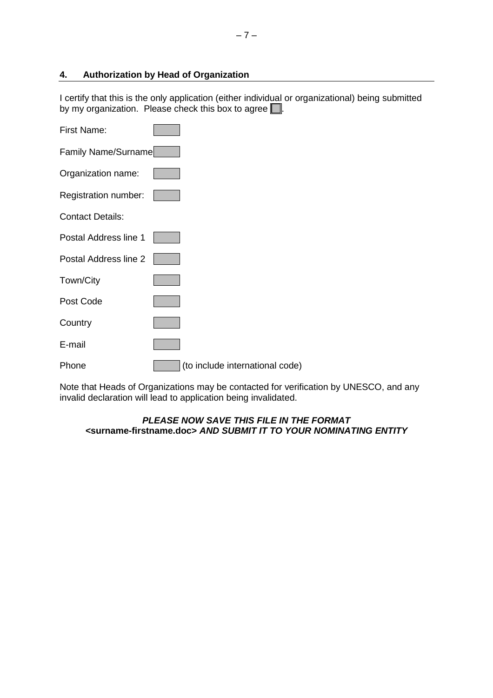# <span id="page-22-0"></span>**4. Authorization by Head of Organization**

I certify that this is the only application (either individual or organizational) being submitted by my organization. Please check this box to agree  $\Box$ .

| <b>First Name:</b>      |                                 |
|-------------------------|---------------------------------|
| Family Name/Surname     |                                 |
| Organization name:      |                                 |
| Registration number:    |                                 |
| <b>Contact Details:</b> |                                 |
| Postal Address line 1   |                                 |
| Postal Address line 2   |                                 |
| Town/City               |                                 |
| Post Code               |                                 |
| Country                 |                                 |
| E-mail                  |                                 |
| Phone                   | (to include international code) |

Note that Heads of Organizations may be contacted for verification by UNESCO, and any invalid declaration will lead to application being invalidated.

#### *PLEASE NOW SAVE THIS FILE IN THE FORMAT <***surname-firstname.doc>** *AND SUBMIT IT TO YOUR NOMINATING ENTITY*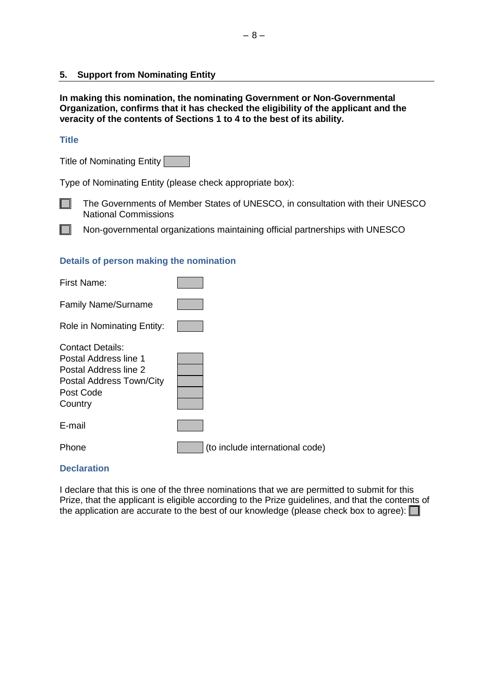# <span id="page-23-0"></span>**5. Support from Nominating Entity**

**In making this nomination, the nominating Government or Non-Governmental Organization, confirms that it has checked the eligibility of the applicant and the veracity of the contents of Sections 1 to 4 to the best of its ability.**

# **Title**

Title of Nominating Entity

Type of Nominating Entity (please check appropriate box):



 $\mathbf{I}$ 

The Governments of Member States of UNESCO, in consultation with their UNESCO National Commissions

Non-governmental organizations maintaining official partnerships with UNESCO

# **Details of person making the nomination**

| First Name:                                                                                                                   |                                 |
|-------------------------------------------------------------------------------------------------------------------------------|---------------------------------|
| <b>Family Name/Surname</b>                                                                                                    |                                 |
| Role in Nominating Entity:                                                                                                    |                                 |
| <b>Contact Details:</b><br>Postal Address line 1<br>Postal Address line 2<br>Postal Address Town/City<br>Post Code<br>Country |                                 |
| E-mail                                                                                                                        |                                 |
| Phone                                                                                                                         | (to include international code) |
|                                                                                                                               |                                 |

## **Declaration**

I declare that this is one of the three nominations that we are permitted to submit for this Prize, that the applicant is eligible according to the Prize guidelines, and that the contents of the application are accurate to the best of our knowledge (please check box to agree):  $\Box$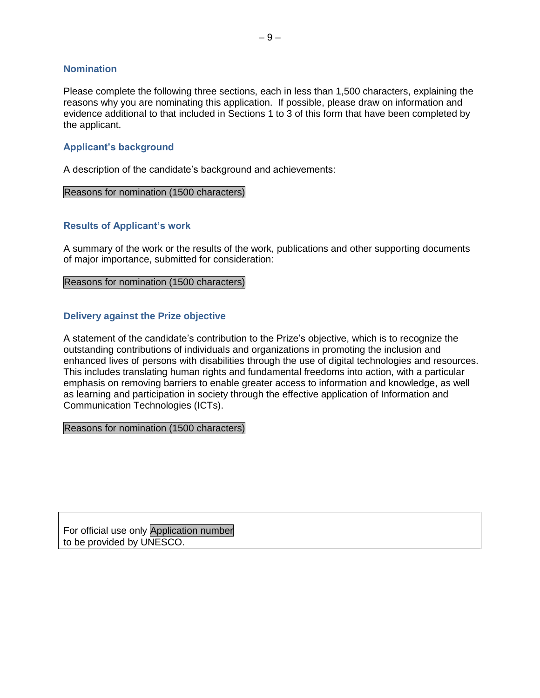#### **Nomination**

Please complete the following three sections, each in less than 1,500 characters, explaining the reasons why you are nominating this application. If possible, please draw on information and evidence additional to that included in Sections 1 to 3 of this form that have been completed by the applicant.

# **Applicant's background**

A description of the candidate's background and achievements:

#### Reasons for nomination (1500 characters)

#### **Results of Applicant's work**

A summary of the work or the results of the work, publications and other supporting documents of major importance, submitted for consideration:

Reasons for nomination (1500 characters)

#### **Delivery against the Prize objective**

A statement of the candidate's contribution to the Prize's objective, which is to recognize the outstanding contributions of individuals and organizations in promoting the inclusion and enhanced lives of persons with disabilities through the use of digital technologies and resources. This includes translating human rights and fundamental freedoms into action, with a particular emphasis on removing barriers to enable greater access to information and knowledge, as well as learning and participation in society through the effective application of Information and Communication Technologies (ICTs).

Reasons for nomination (1500 characters)

For official use only Application number to be provided by UNESCO.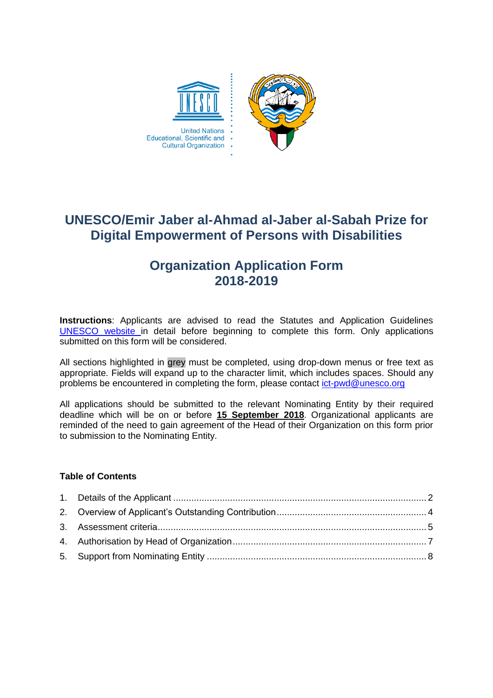

# **UNESCO/Emir Jaber al-Ahmad al-Jaber al-Sabah Prize for Digital Empowerment of Persons with Disabilities**

# **Organization Application Form 2018-2019**

**Instructions**: Applicants are advised to read the Statutes and Application Guidelines [UNESCO website](http://en.unesco.org/prizes/digital-empowerment) in detail before beginning to complete this form. Only applications submitted on this form will be considered.

All sections highlighted in grey must be completed, using drop-down menus or free text as appropriate. Fields will expand up to the character limit, which includes spaces. Should any problems be encountered in completing the form, please contact [ict-pwd@unesco.org](mailto:ict-pwd@unesco.org)

All applications should be submitted to the relevant Nominating Entity by their required deadline which will be on or before **15 September 2018**. Organizational applicants are reminded of the need to gain agreement of the Head of their Organization on this form prior to submission to the Nominating Entity.

# **Table of Contents**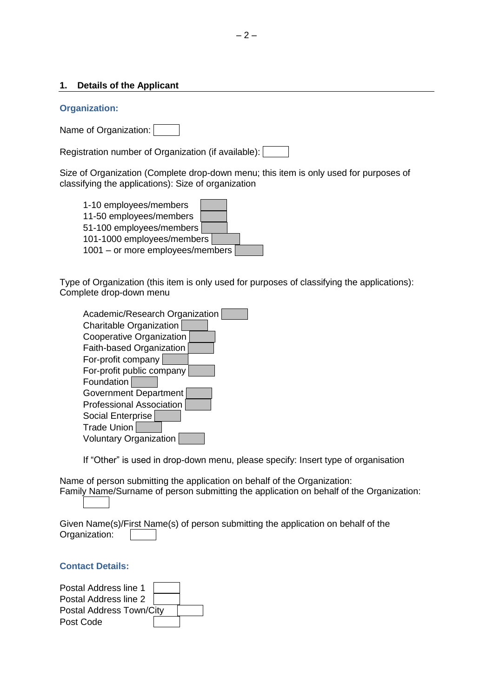#### <span id="page-27-0"></span>**1. Details of the Applicant**

#### **Organization:**

Name of Organization:

Registration number of Organization (if available):

Size of Organization (Complete drop-down menu; this item is only used for purposes of classifying the applications): Size of organization



Type of Organization (this item is only used for purposes of classifying the applications): Complete drop-down menu

| Academic/Research Organization  |
|---------------------------------|
| Charitable Organization         |
| Cooperative Organization        |
| <b>Faith-based Organization</b> |
| For-profit company              |
| For-profit public company       |
| Foundation                      |
| <b>Government Department</b>    |
| <b>Professional Association</b> |
| Social Enterprise               |
| <b>Trade Union</b>              |
| <b>Voluntary Organization</b>   |

If "Other" is used in drop-down menu, please specify: Insert type of organisation

Name of person submitting the application on behalf of the Organization: Family Name/Surname of person submitting the application on behalf of the Organization:

Given Name(s)/First Name(s) of person submitting the application on behalf of the Organization:

# **Contact Details:**

| Postal Address line 1    |  |  |
|--------------------------|--|--|
| Postal Address line 2    |  |  |
| Postal Address Town/City |  |  |
| Post Code                |  |  |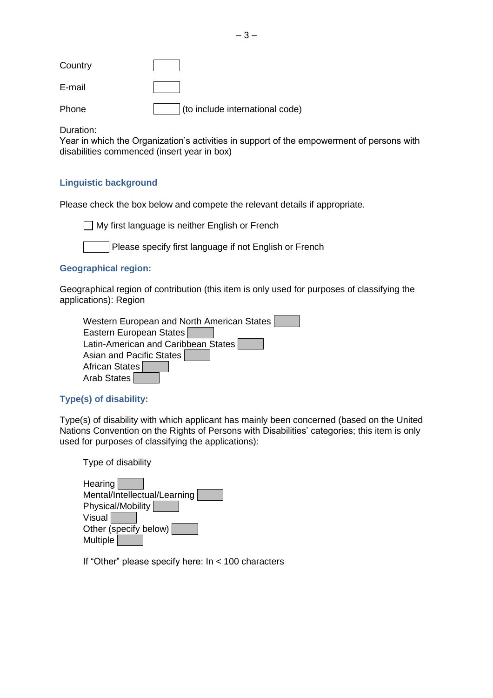| Country |                                 |
|---------|---------------------------------|
| E-mail  |                                 |
| Phone   | (to include international code) |

Duration:

Year in which the Organization's activities in support of the empowerment of persons with disabilities commenced (insert year in box)

# **Linguistic background**

Please check the box below and compete the relevant details if appropriate.

 $\Box$  My first language is neither English or French

Please specify first language if not English or French

# **Geographical region:**

Geographical region of contribution (this item is only used for purposes of classifying the applications): Region

| Western European and North American States |  |
|--------------------------------------------|--|
| Eastern European States                    |  |
| Latin-American and Caribbean States        |  |
| Asian and Pacific States                   |  |
| African States                             |  |
| Arab States                                |  |

# **Type(s) of disability:**

Type(s) of disability with which applicant has mainly been concerned (based on the United Nations Convention on the Rights of Persons with Disabilities' categories; this item is only used for purposes of classifying the applications):

Type of disability

| Hearing                      |  |  |  |
|------------------------------|--|--|--|
| Mental/Intellectual/Learning |  |  |  |
| Physical/Mobility            |  |  |  |
| Visual                       |  |  |  |
| Other (specify below)        |  |  |  |
| <b>Multiple</b>              |  |  |  |

If "Other" please specify here: In < 100 characters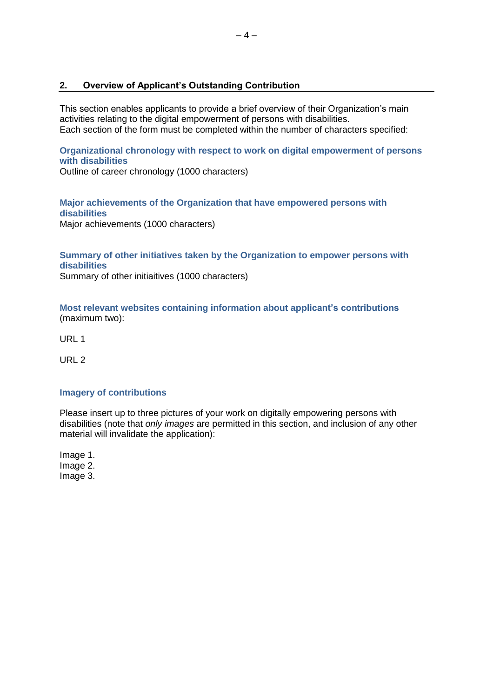# <span id="page-29-0"></span>**2. Overview of Applicant's Outstanding Contribution**

This section enables applicants to provide a brief overview of their Organization's main activities relating to the digital empowerment of persons with disabilities. Each section of the form must be completed within the number of characters specified:

**Organizational chronology with respect to work on digital empowerment of persons with disabilities**

Outline of career chronology (1000 characters)

**Major achievements of the Organization that have empowered persons with disabilities** Major achievements (1000 characters)

**Summary of other initiatives taken by the Organization to empower persons with disabilities** Summary of other initiaitives (1000 characters)

**Most relevant websites containing information about applicant's contributions** (maximum two):

URL 1

URL 2

# **Imagery of contributions**

Please insert up to three pictures of your work on digitally empowering persons with disabilities (note that *only images* are permitted in this section, and inclusion of any other material will invalidate the application):

Image 1. Image 2. Image 3.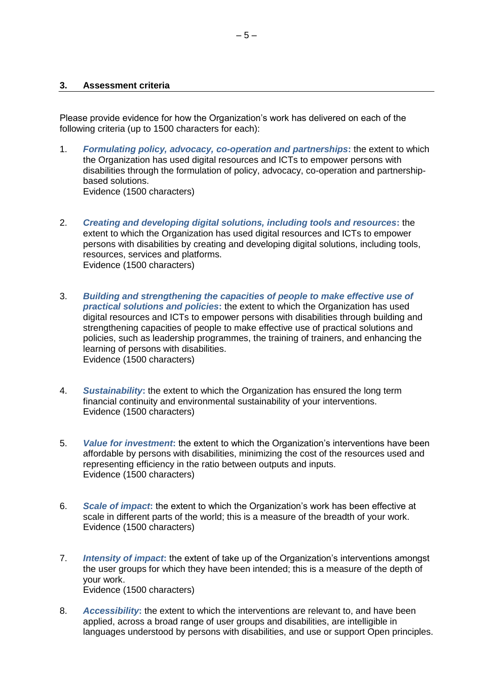#### <span id="page-30-0"></span>**3. Assessment criteria**

Please provide evidence for how the Organization's work has delivered on each of the following criteria (up to 1500 characters for each):

- 1. *Formulating policy, advocacy, co-operation and partnerships***:** the extent to which the Organization has used digital resources and ICTs to empower persons with disabilities through the formulation of policy, advocacy, co-operation and partnershipbased solutions. Evidence (1500 characters)
- 2. *Creating and developing digital solutions, including tools and resources***:** the extent to which the Organization has used digital resources and ICTs to empower persons with disabilities by creating and developing digital solutions, including tools, resources, services and platforms. Evidence (1500 characters)
- 3. *Building and strengthening the capacities of people to make effective use of practical solutions and policies***:** the extent to which the Organization has used digital resources and ICTs to empower persons with disabilities through building and strengthening capacities of people to make effective use of practical solutions and policies, such as leadership programmes, the training of trainers, and enhancing the learning of persons with disabilities. Evidence (1500 characters)
- 4. *Sustainability***:** the extent to which the Organization has ensured the long term financial continuity and environmental sustainability of your interventions. Evidence (1500 characters)
- 5. *Value for investment***:** the extent to which the Organization's interventions have been affordable by persons with disabilities, minimizing the cost of the resources used and representing efficiency in the ratio between outputs and inputs. Evidence (1500 characters)
- 6. *Scale of impact***:** the extent to which the Organization's work has been effective at scale in different parts of the world; this is a measure of the breadth of your work. Evidence (1500 characters)
- 7. *Intensity of impact***:** the extent of take up of the Organization's interventions amongst the user groups for which they have been intended; this is a measure of the depth of your work. Evidence (1500 characters)
- 8. *Accessibility***:** the extent to which the interventions are relevant to, and have been applied, across a broad range of user groups and disabilities, are intelligible in languages understood by persons with disabilities, and use or support Open principles.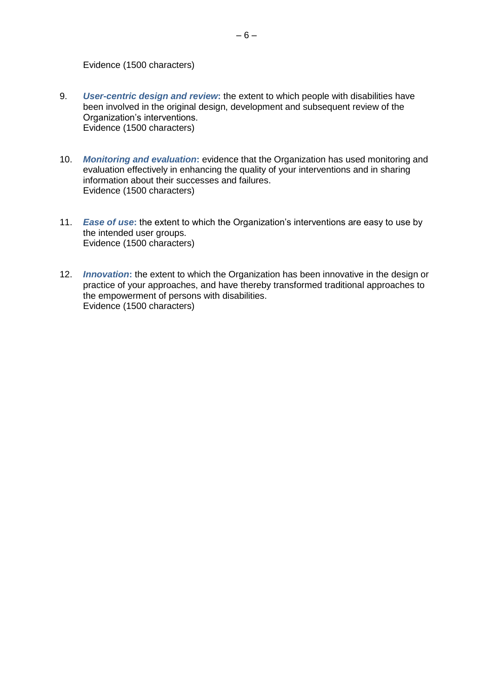#### Evidence (1500 characters)

- 9. *User-centric design and review***:** the extent to which people with disabilities have been involved in the original design, development and subsequent review of the Organization's interventions. Evidence (1500 characters)
- 10. *Monitoring and evaluation***:** evidence that the Organization has used monitoring and evaluation effectively in enhancing the quality of your interventions and in sharing information about their successes and failures. Evidence (1500 characters)
- 11. *Ease of use***:** the extent to which the Organization's interventions are easy to use by the intended user groups. Evidence (1500 characters)
- 12. *Innovation***:** the extent to which the Organization has been innovative in the design or practice of your approaches, and have thereby transformed traditional approaches to the empowerment of persons with disabilities. Evidence (1500 characters)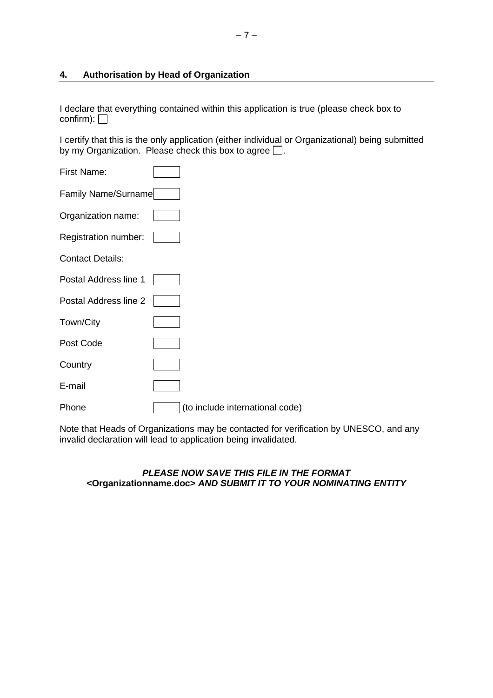# <span id="page-32-0"></span>**4. Authorisation by Head of Organization**

I declare that everything contained within this application is true (please check box to confirm):  $\Box$ 

I certify that this is the only application (either individual or Organizational) being submitted by my Organization. Please check this box to agree  $\Box$ .

| <b>First Name:</b>      |                                 |
|-------------------------|---------------------------------|
| Family Name/Surname     |                                 |
| Organization name:      |                                 |
| Registration number:    |                                 |
| <b>Contact Details:</b> |                                 |
| Postal Address line 1   |                                 |
| Postal Address line 2   |                                 |
| Town/City               |                                 |
| Post Code               |                                 |
| Country                 |                                 |
| E-mail                  |                                 |
| Phone                   | (to include international code) |

Note that Heads of Organizations may be contacted for verification by UNESCO, and any invalid declaration will lead to application being invalidated.

# *PLEASE NOW SAVE THIS FILE IN THE FORMAT <***Organizationname.doc>** *AND SUBMIT IT TO YOUR NOMINATING ENTITY*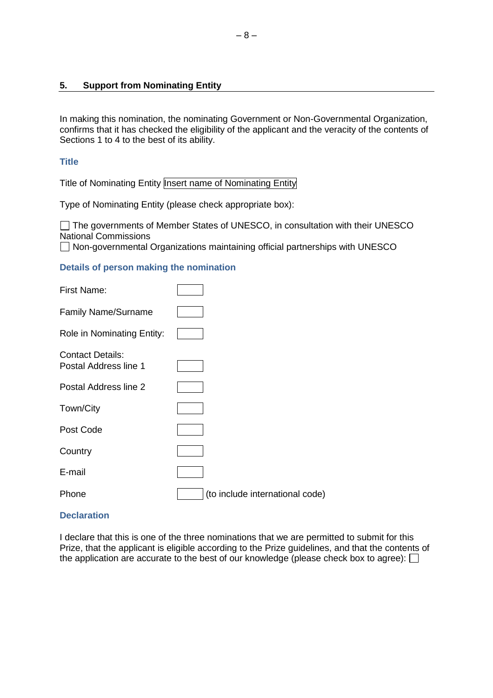## <span id="page-33-0"></span>**5. Support from Nominating Entity**

In making this nomination, the nominating Government or Non-Governmental Organization, confirms that it has checked the eligibility of the applicant and the veracity of the contents of Sections 1 to 4 to the best of its ability.

#### **Title**

Title of Nominating Entity Insert name of Nominating Entity

Type of Nominating Entity (please check appropriate box):

The governments of Member States of UNESCO, in consultation with their UNESCO National Commissions

□ Non-governmental Organizations maintaining official partnerships with UNESCO

#### **Details of person making the nomination**

| <b>First Name:</b>                               |                                 |
|--------------------------------------------------|---------------------------------|
| <b>Family Name/Surname</b>                       |                                 |
| Role in Nominating Entity:                       |                                 |
| <b>Contact Details:</b><br>Postal Address line 1 |                                 |
| Postal Address line 2                            |                                 |
| Town/City                                        |                                 |
| Post Code                                        |                                 |
| Country                                          |                                 |
| E-mail                                           |                                 |
| Phone                                            | (to include international code) |

#### **Declaration**

I declare that this is one of the three nominations that we are permitted to submit for this Prize, that the applicant is eligible according to the Prize guidelines, and that the contents of the application are accurate to the best of our knowledge (please check box to agree):  $\Box$